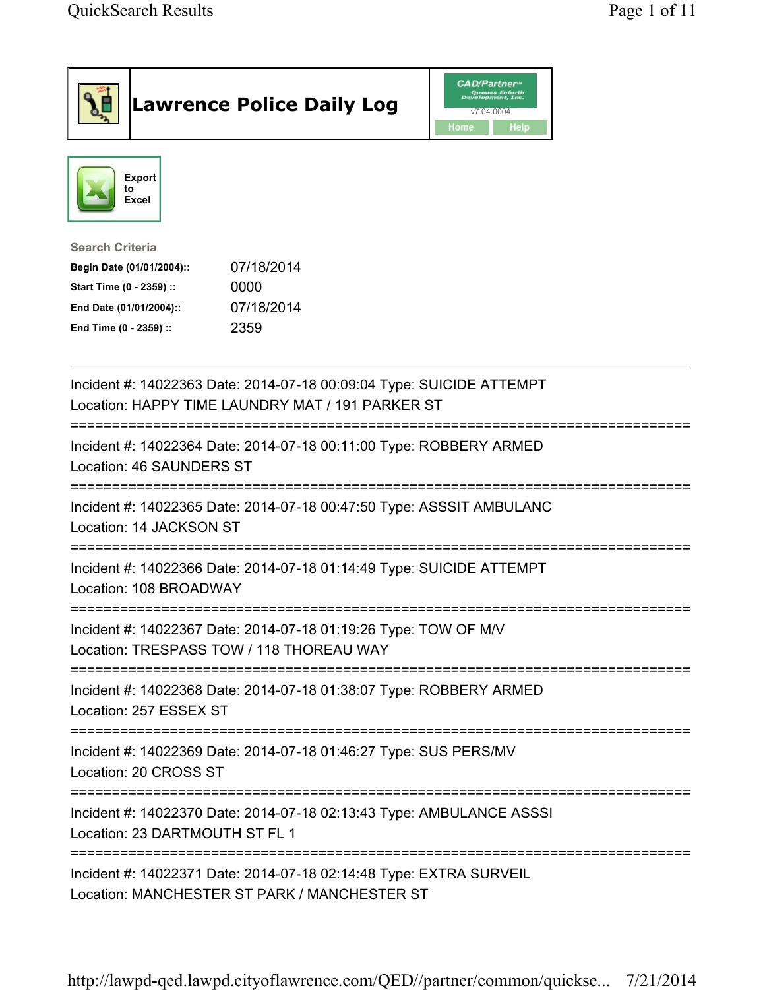|                                                                                                                                      | <b>Lawrence Police Daily Log</b>                                                                                         | <b>CAD/Partner</b><br>Queues Enforth<br>Development, Inc.<br>v7.04.0004<br>Home<br>Help |  |
|--------------------------------------------------------------------------------------------------------------------------------------|--------------------------------------------------------------------------------------------------------------------------|-----------------------------------------------------------------------------------------|--|
| <b>Export</b><br>to<br>Excel                                                                                                         |                                                                                                                          |                                                                                         |  |
| <b>Search Criteria</b><br>Begin Date (01/01/2004)::<br>Start Time (0 - 2359) ::<br>End Date (01/01/2004)::<br>End Time (0 - 2359) :: | 07/18/2014<br>0000<br>07/18/2014<br>2359                                                                                 |                                                                                         |  |
|                                                                                                                                      | Incident #: 14022363 Date: 2014-07-18 00:09:04 Type: SUICIDE ATTEMPT<br>Location: HAPPY TIME LAUNDRY MAT / 191 PARKER ST |                                                                                         |  |
| Location: 46 SAUNDERS ST                                                                                                             | Incident #: 14022364 Date: 2014-07-18 00:11:00 Type: ROBBERY ARMED                                                       |                                                                                         |  |
| Location: 14 JACKSON ST                                                                                                              | Incident #: 14022365 Date: 2014-07-18 00:47:50 Type: ASSSIT AMBULANC                                                     |                                                                                         |  |
| Location: 108 BROADWAY                                                                                                               | Incident #: 14022366 Date: 2014-07-18 01:14:49 Type: SUICIDE ATTEMPT                                                     |                                                                                         |  |
|                                                                                                                                      | Incident #: 14022367 Date: 2014-07-18 01:19:26 Type: TOW OF M/V<br>Location: TRESPASS TOW / 118 THOREAU WAY              |                                                                                         |  |
| Location: 257 ESSEX ST                                                                                                               | Incident #: 14022368 Date: 2014-07-18 01:38:07 Type: ROBBERY ARMED                                                       |                                                                                         |  |
| Location: 20 CROSS ST                                                                                                                | Incident #: 14022369 Date: 2014-07-18 01:46:27 Type: SUS PERS/MV                                                         |                                                                                         |  |
| Location: 23 DARTMOUTH ST FL 1                                                                                                       | Incident #: 14022370 Date: 2014-07-18 02:13:43 Type: AMBULANCE ASSSI<br>------------------------------------             |                                                                                         |  |
|                                                                                                                                      | Incident #: 14022371 Date: 2014-07-18 02:14:48 Type: EXTRA SURVEIL<br>Location: MANCHESTER ST PARK / MANCHESTER ST       |                                                                                         |  |

http://lawpd-qed.lawpd.cityoflawrence.com/QED//partner/common/quickse... 7/21/2014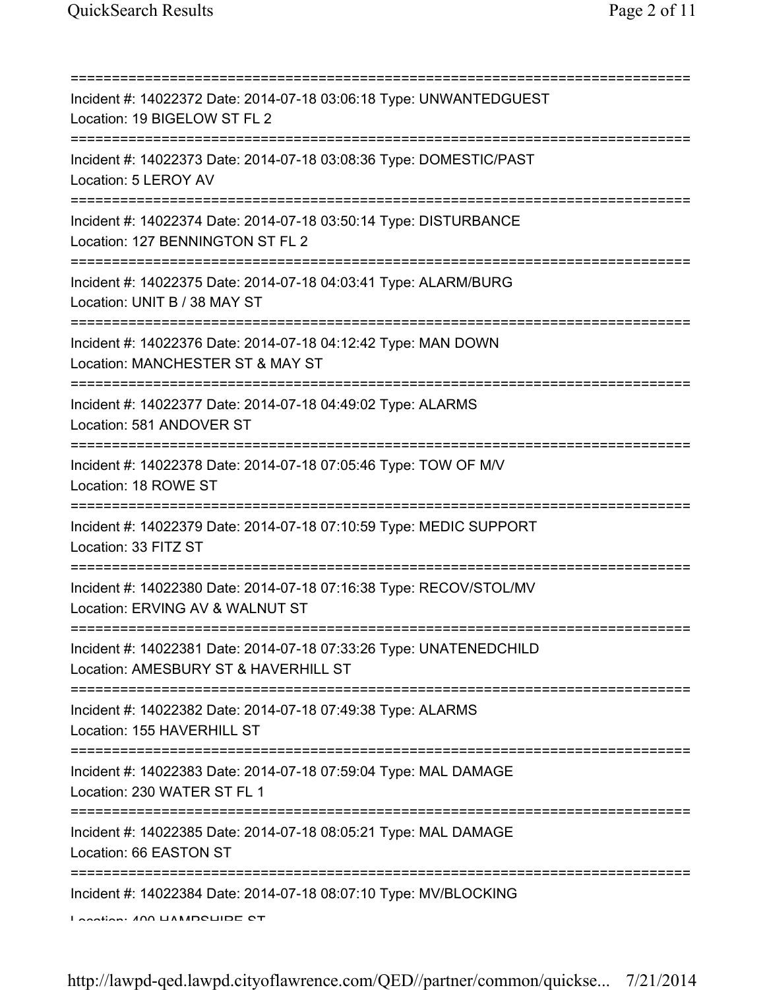| Incident #: 14022372 Date: 2014-07-18 03:06:18 Type: UNWANTEDGUEST<br>Location: 19 BIGELOW ST FL 2                               |
|----------------------------------------------------------------------------------------------------------------------------------|
| Incident #: 14022373 Date: 2014-07-18 03:08:36 Type: DOMESTIC/PAST<br>Location: 5 LEROY AV                                       |
| Incident #: 14022374 Date: 2014-07-18 03:50:14 Type: DISTURBANCE<br>Location: 127 BENNINGTON ST FL 2                             |
| Incident #: 14022375 Date: 2014-07-18 04:03:41 Type: ALARM/BURG<br>Location: UNIT B / 38 MAY ST                                  |
| Incident #: 14022376 Date: 2014-07-18 04:12:42 Type: MAN DOWN<br>Location: MANCHESTER ST & MAY ST                                |
| Incident #: 14022377 Date: 2014-07-18 04:49:02 Type: ALARMS<br>Location: 581 ANDOVER ST<br>===================================== |
| Incident #: 14022378 Date: 2014-07-18 07:05:46 Type: TOW OF M/V<br>Location: 18 ROWE ST<br>;==============================       |
| Incident #: 14022379 Date: 2014-07-18 07:10:59 Type: MEDIC SUPPORT<br>Location: 33 FITZ ST                                       |
| Incident #: 14022380 Date: 2014-07-18 07:16:38 Type: RECOV/STOL/MV<br>Location: ERVING AV & WALNUT ST                            |
| Incident #: 14022381 Date: 2014-07-18 07:33:26 Type: UNATENEDCHILD<br>Location: AMESBURY ST & HAVERHILL ST                       |
| Incident #: 14022382 Date: 2014-07-18 07:49:38 Type: ALARMS<br>Location: 155 HAVERHILL ST                                        |
| Incident #: 14022383 Date: 2014-07-18 07:59:04 Type: MAL DAMAGE<br>Location: 230 WATER ST FL 1                                   |
| =================================<br>Incident #: 14022385 Date: 2014-07-18 08:05:21 Type: MAL DAMAGE<br>Location: 66 EASTON ST   |
| Incident #: 14022384 Date: 2014-07-18 08:07:10 Type: MV/BLOCKING<br>Lootion: ANN LIARADOLIIDE OT                                 |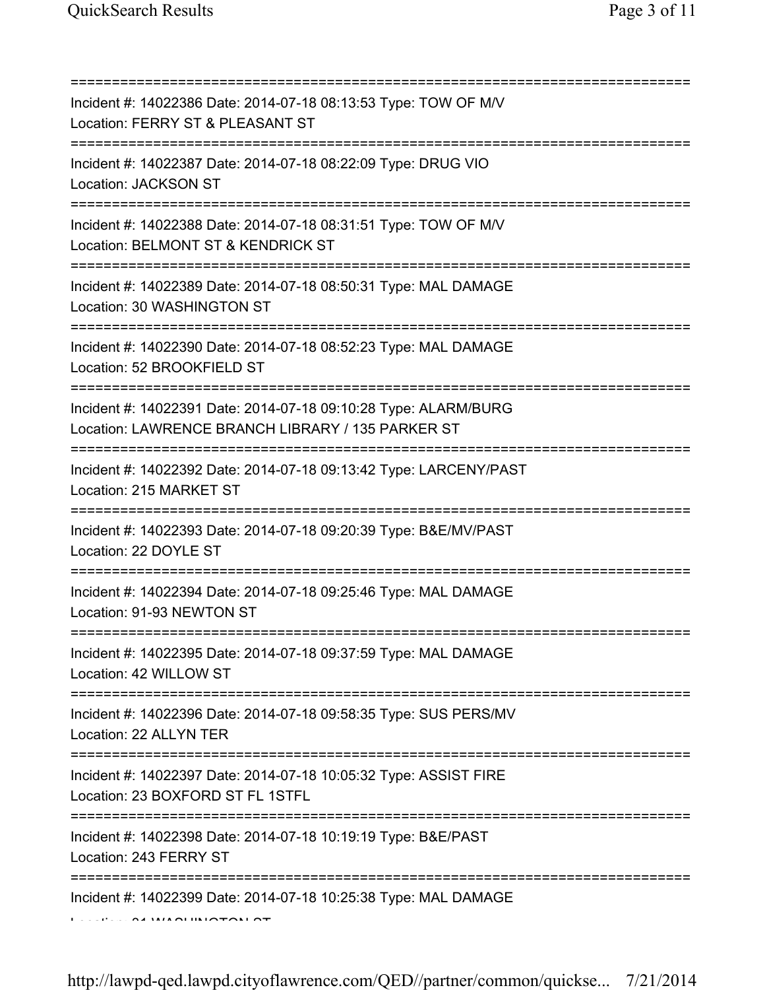| Incident #: 14022386 Date: 2014-07-18 08:13:53 Type: TOW OF M/V<br>Location: FERRY ST & PLEASANT ST<br>==========================              |
|------------------------------------------------------------------------------------------------------------------------------------------------|
| Incident #: 14022387 Date: 2014-07-18 08:22:09 Type: DRUG VIO<br><b>Location: JACKSON ST</b>                                                   |
| Incident #: 14022388 Date: 2014-07-18 08:31:51 Type: TOW OF M/V<br>Location: BELMONT ST & KENDRICK ST                                          |
| Incident #: 14022389 Date: 2014-07-18 08:50:31 Type: MAL DAMAGE<br>Location: 30 WASHINGTON ST                                                  |
| =========================<br>Incident #: 14022390 Date: 2014-07-18 08:52:23 Type: MAL DAMAGE<br>Location: 52 BROOKFIELD ST                     |
| Incident #: 14022391 Date: 2014-07-18 09:10:28 Type: ALARM/BURG<br>Location: LAWRENCE BRANCH LIBRARY / 135 PARKER ST                           |
| :================<br>Incident #: 14022392 Date: 2014-07-18 09:13:42 Type: LARCENY/PAST<br>Location: 215 MARKET ST                              |
| Incident #: 14022393 Date: 2014-07-18 09:20:39 Type: B&E/MV/PAST<br>Location: 22 DOYLE ST                                                      |
| Incident #: 14022394 Date: 2014-07-18 09:25:46 Type: MAL DAMAGE<br>Location: 91-93 NEWTON ST                                                   |
| Incident #: 14022395 Date: 2014-07-18 09:37:59 Type: MAL DAMAGE<br>Location: 42 WILLOW ST                                                      |
| Incident #: 14022396 Date: 2014-07-18 09:58:35 Type: SUS PERS/MV<br>Location: 22 ALLYN TER                                                     |
| ======================================<br>Incident #: 14022397 Date: 2014-07-18 10:05:32 Type: ASSIST FIRE<br>Location: 23 BOXFORD ST FL 1STFL |
| Incident #: 14022398 Date: 2014-07-18 10:19:19 Type: B&E/PAST<br>Location: 243 FERRY ST                                                        |
| Incident #: 14022399 Date: 2014-07-18 10:25:38 Type: MAL DAMAGE                                                                                |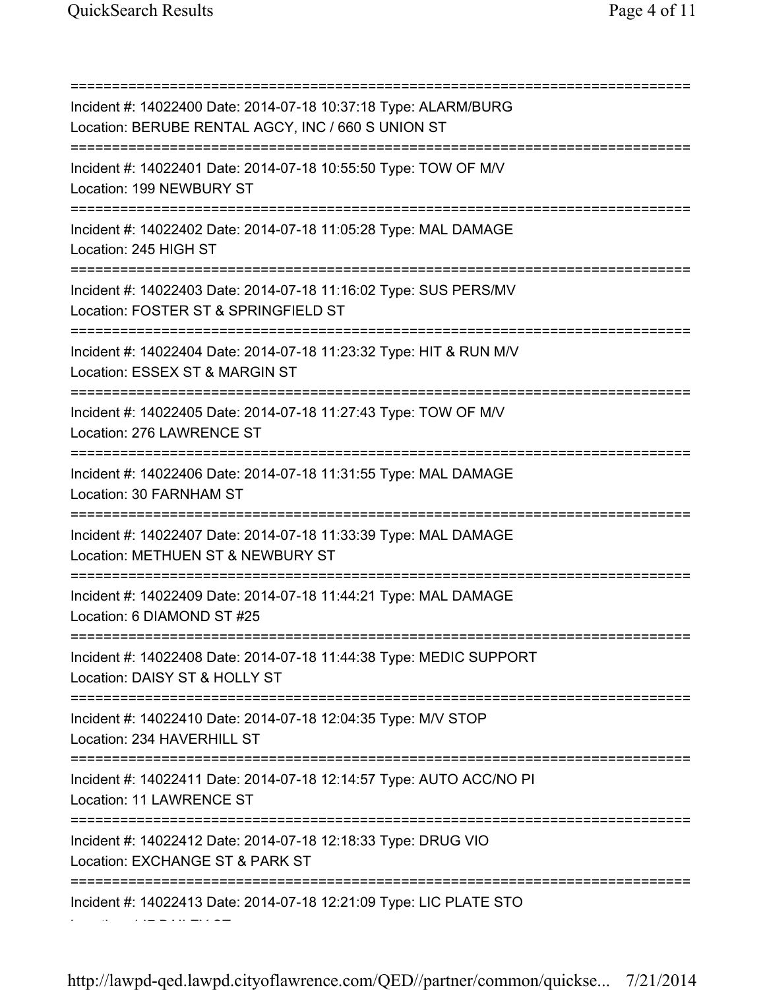Location: 147 BAILEY ST

=========================================================================== Incident #: 14022400 Date: 2014-07-18 10:37:18 Type: ALARM/BURG Location: BERUBE RENTAL AGCY, INC / 660 S UNION ST =========================================================================== Incident #: 14022401 Date: 2014-07-18 10:55:50 Type: TOW OF M/V Location: 199 NEWBURY ST =========================================================================== Incident #: 14022402 Date: 2014-07-18 11:05:28 Type: MAL DAMAGE Location: 245 HIGH ST =========================================================================== Incident #: 14022403 Date: 2014-07-18 11:16:02 Type: SUS PERS/MV Location: FOSTER ST & SPRINGFIELD ST =========================================================================== Incident #: 14022404 Date: 2014-07-18 11:23:32 Type: HIT & RUN M/V Location: ESSEX ST & MARGIN ST =========================================================================== Incident #: 14022405 Date: 2014-07-18 11:27:43 Type: TOW OF M/V Location: 276 LAWRENCE ST =========================================================================== Incident #: 14022406 Date: 2014-07-18 11:31:55 Type: MAL DAMAGE Location: 30 FARNHAM ST =========================================================================== Incident #: 14022407 Date: 2014-07-18 11:33:39 Type: MAL DAMAGE Location: METHUEN ST & NEWBURY ST =========================================================================== Incident #: 14022409 Date: 2014-07-18 11:44:21 Type: MAL DAMAGE Location: 6 DIAMOND ST #25 =========================================================================== Incident #: 14022408 Date: 2014-07-18 11:44:38 Type: MEDIC SUPPORT Location: DAISY ST & HOLLY ST =========================================================================== Incident #: 14022410 Date: 2014-07-18 12:04:35 Type: M/V STOP Location: 234 HAVERHILL ST =========================================================================== Incident #: 14022411 Date: 2014-07-18 12:14:57 Type: AUTO ACC/NO PI Location: 11 LAWRENCE ST =========================================================================== Incident #: 14022412 Date: 2014-07-18 12:18:33 Type: DRUG VIO Location: EXCHANGE ST & PARK ST =========================================================================== Incident #: 14022413 Date: 2014-07-18 12:21:09 Type: LIC PLATE STO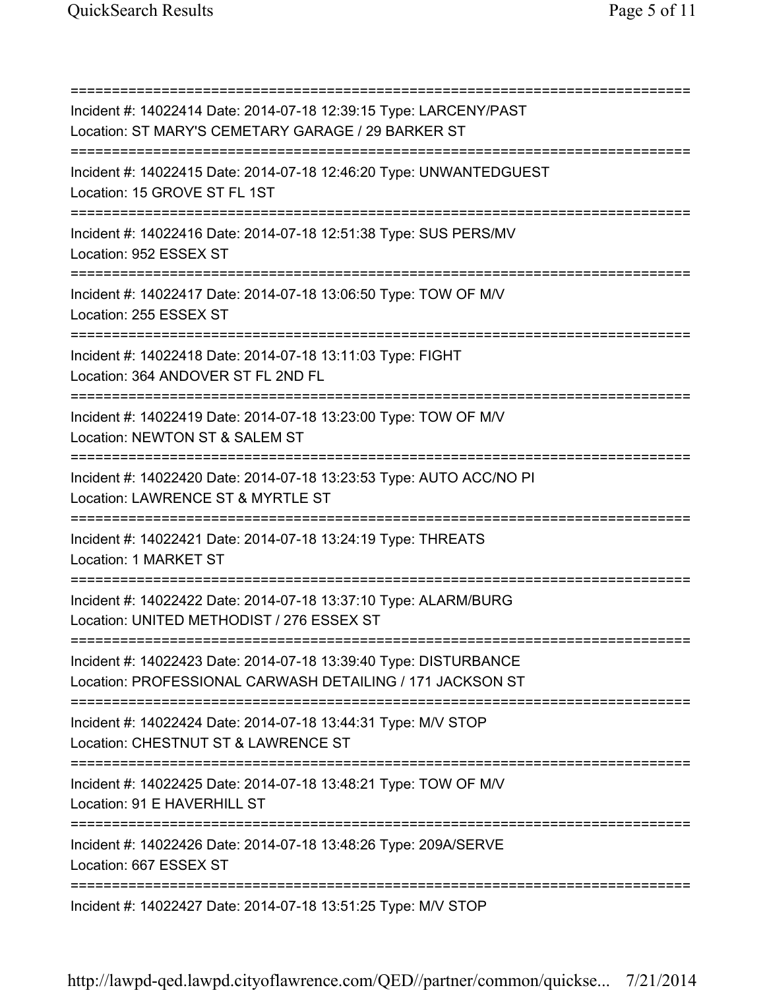=========================================================================== Incident #: 14022414 Date: 2014-07-18 12:39:15 Type: LARCENY/PAST Location: ST MARY'S CEMETARY GARAGE / 29 BARKER ST =========================================================================== Incident #: 14022415 Date: 2014-07-18 12:46:20 Type: UNWANTEDGUEST Location: 15 GROVE ST FL 1ST =========================================================================== Incident #: 14022416 Date: 2014-07-18 12:51:38 Type: SUS PERS/MV Location: 952 ESSEX ST =========================================================================== Incident #: 14022417 Date: 2014-07-18 13:06:50 Type: TOW OF M/V Location: 255 ESSEX ST =========================================================================== Incident #: 14022418 Date: 2014-07-18 13:11:03 Type: FIGHT Location: 364 ANDOVER ST FL 2ND FL =========================================================================== Incident #: 14022419 Date: 2014-07-18 13:23:00 Type: TOW OF M/V Location: NEWTON ST & SALEM ST =========================================================================== Incident #: 14022420 Date: 2014-07-18 13:23:53 Type: AUTO ACC/NO PI Location: LAWRENCE ST & MYRTLE ST =========================================================================== Incident #: 14022421 Date: 2014-07-18 13:24:19 Type: THREATS Location: 1 MARKET ST =========================================================================== Incident #: 14022422 Date: 2014-07-18 13:37:10 Type: ALARM/BURG Location: UNITED METHODIST / 276 ESSEX ST =========================================================================== Incident #: 14022423 Date: 2014-07-18 13:39:40 Type: DISTURBANCE Location: PROFESSIONAL CARWASH DETAILING / 171 JACKSON ST =========================================================================== Incident #: 14022424 Date: 2014-07-18 13:44:31 Type: M/V STOP Location: CHESTNUT ST & LAWRENCE ST =========================================================================== Incident #: 14022425 Date: 2014-07-18 13:48:21 Type: TOW OF M/V Location: 91 E HAVERHILL ST =========================================================================== Incident #: 14022426 Date: 2014-07-18 13:48:26 Type: 209A/SERVE Location: 667 ESSEX ST =========================================================================== Incident #: 14022427 Date: 2014-07-18 13:51:25 Type: M/V STOP

http://lawpd-qed.lawpd.cityoflawrence.com/QED//partner/common/quickse... 7/21/2014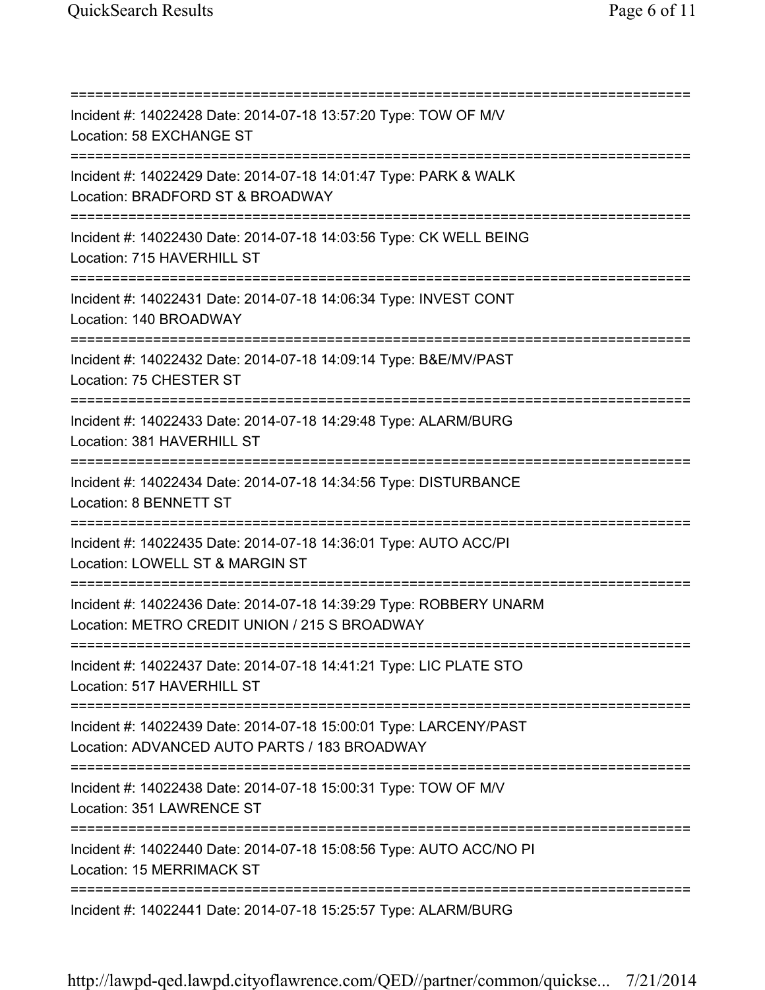=========================================================================== Incident #: 14022428 Date: 2014-07-18 13:57:20 Type: TOW OF M/V Location: 58 EXCHANGE ST =========================================================================== Incident #: 14022429 Date: 2014-07-18 14:01:47 Type: PARK & WALK Location: BRADFORD ST & BROADWAY =========================================================================== Incident #: 14022430 Date: 2014-07-18 14:03:56 Type: CK WELL BEING Location: 715 HAVERHILL ST =========================================================================== Incident #: 14022431 Date: 2014-07-18 14:06:34 Type: INVEST CONT Location: 140 BROADWAY =========================================================================== Incident #: 14022432 Date: 2014-07-18 14:09:14 Type: B&E/MV/PAST Location: 75 CHESTER ST =========================================================================== Incident #: 14022433 Date: 2014-07-18 14:29:48 Type: ALARM/BURG Location: 381 HAVERHILL ST =========================================================================== Incident #: 14022434 Date: 2014-07-18 14:34:56 Type: DISTURBANCE Location: 8 BENNETT ST =========================================================================== Incident #: 14022435 Date: 2014-07-18 14:36:01 Type: AUTO ACC/PI Location: LOWELL ST & MARGIN ST =========================================================================== Incident #: 14022436 Date: 2014-07-18 14:39:29 Type: ROBBERY UNARM Location: METRO CREDIT UNION / 215 S BROADWAY =========================================================================== Incident #: 14022437 Date: 2014-07-18 14:41:21 Type: LIC PLATE STO Location: 517 HAVERHILL ST =========================================================================== Incident #: 14022439 Date: 2014-07-18 15:00:01 Type: LARCENY/PAST Location: ADVANCED AUTO PARTS / 183 BROADWAY =========================================================================== Incident #: 14022438 Date: 2014-07-18 15:00:31 Type: TOW OF M/V Location: 351 LAWRENCE ST =========================================================================== Incident #: 14022440 Date: 2014-07-18 15:08:56 Type: AUTO ACC/NO PI Location: 15 MERRIMACK ST =========================================================================== Incident #: 14022441 Date: 2014-07-18 15:25:57 Type: ALARM/BURG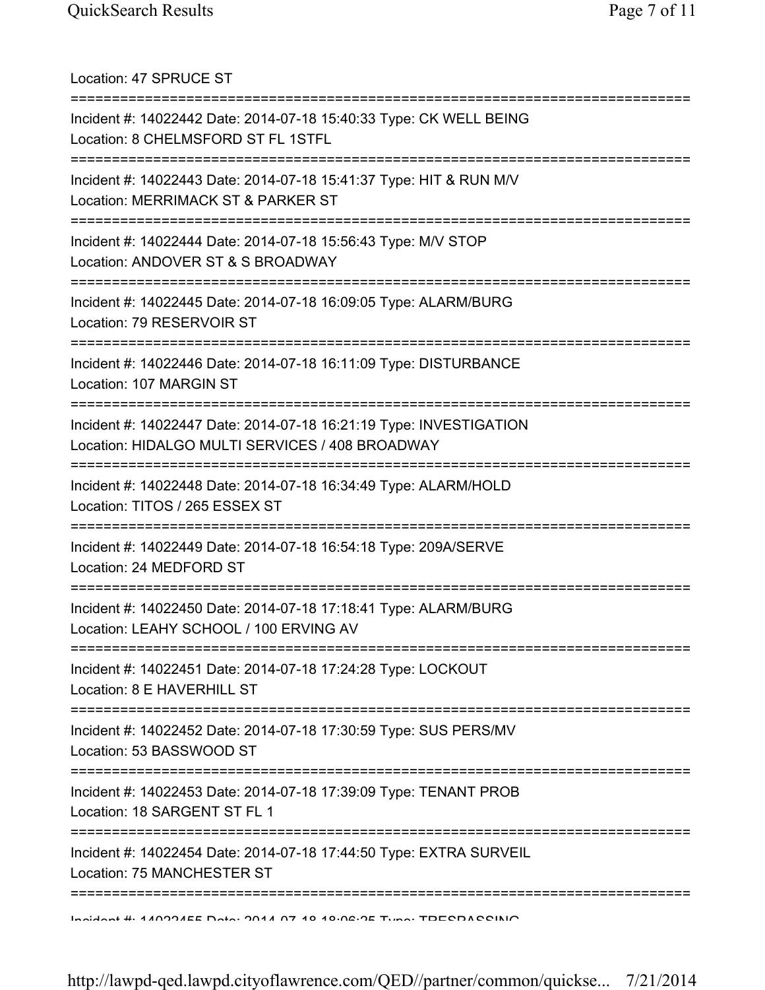Location: 47 SPRUCE ST =========================================================================== Incident #: 14022442 Date: 2014-07-18 15:40:33 Type: CK WELL BEING Location: 8 CHELMSFORD ST FL 1STFL =========================================================================== Incident #: 14022443 Date: 2014-07-18 15:41:37 Type: HIT & RUN M/V Location: MERRIMACK ST & PARKER ST =========================================================================== Incident #: 14022444 Date: 2014-07-18 15:56:43 Type: M/V STOP Location: ANDOVER ST & S BROADWAY =========================================================================== Incident #: 14022445 Date: 2014-07-18 16:09:05 Type: ALARM/BURG Location: 79 RESERVOIR ST =========================================================================== Incident #: 14022446 Date: 2014-07-18 16:11:09 Type: DISTURBANCE Location: 107 MARGIN ST =========================================================================== Incident #: 14022447 Date: 2014-07-18 16:21:19 Type: INVESTIGATION Location: HIDALGO MULTI SERVICES / 408 BROADWAY =========================================================================== Incident #: 14022448 Date: 2014-07-18 16:34:49 Type: ALARM/HOLD Location: TITOS / 265 ESSEX ST =========================================================================== Incident #: 14022449 Date: 2014-07-18 16:54:18 Type: 209A/SERVE Location: 24 MEDFORD ST =========================================================================== Incident #: 14022450 Date: 2014-07-18 17:18:41 Type: ALARM/BURG Location: LEAHY SCHOOL / 100 ERVING AV =========================================================================== Incident #: 14022451 Date: 2014-07-18 17:24:28 Type: LOCKOUT Location: 8 E HAVERHILL ST =========================================================================== Incident #: 14022452 Date: 2014-07-18 17:30:59 Type: SUS PERS/MV Location: 53 BASSWOOD ST =========================================================================== Incident #: 14022453 Date: 2014-07-18 17:39:09 Type: TENANT PROB Location: 18 SARGENT ST FL 1 =========================================================================== Incident #: 14022454 Date: 2014-07-18 17:44:50 Type: EXTRA SURVEIL Location: 75 MANCHESTER ST =========================================================================== Incident #: 14022455 Date: 2014 07 18 18:06:25 Type: TRESPASSING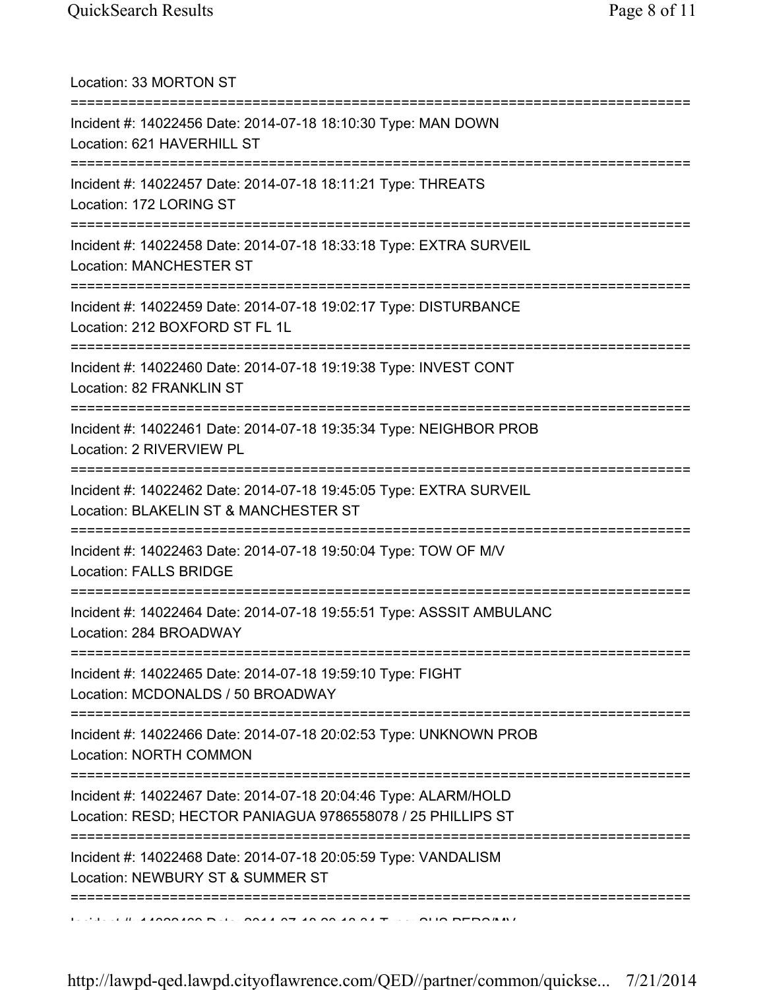Location: 33 MORTON ST =========================================================================== Incident #: 14022456 Date: 2014-07-18 18:10:30 Type: MAN DOWN Location: 621 HAVERHILL ST =========================================================================== Incident #: 14022457 Date: 2014-07-18 18:11:21 Type: THREATS Location: 172 LORING ST =========================================================================== Incident #: 14022458 Date: 2014-07-18 18:33:18 Type: EXTRA SURVEIL Location: MANCHESTER ST =========================================================================== Incident #: 14022459 Date: 2014-07-18 19:02:17 Type: DISTURBANCE Location: 212 BOXFORD ST FL 1L =========================================================================== Incident #: 14022460 Date: 2014-07-18 19:19:38 Type: INVEST CONT Location: 82 FRANKLIN ST =========================================================================== Incident #: 14022461 Date: 2014-07-18 19:35:34 Type: NEIGHBOR PROB Location: 2 RIVERVIEW PL =========================================================================== Incident #: 14022462 Date: 2014-07-18 19:45:05 Type: EXTRA SURVEIL Location: BLAKELIN ST & MANCHESTER ST =========================================================================== Incident #: 14022463 Date: 2014-07-18 19:50:04 Type: TOW OF M/V Location: FALLS BRIDGE =========================================================================== Incident #: 14022464 Date: 2014-07-18 19:55:51 Type: ASSSIT AMBULANC Location: 284 BROADWAY =========================================================================== Incident #: 14022465 Date: 2014-07-18 19:59:10 Type: FIGHT Location: MCDONALDS / 50 BROADWAY =========================================================================== Incident #: 14022466 Date: 2014-07-18 20:02:53 Type: UNKNOWN PROB Location: NORTH COMMON =========================================================================== Incident #: 14022467 Date: 2014-07-18 20:04:46 Type: ALARM/HOLD Location: RESD; HECTOR PANIAGUA 9786558078 / 25 PHILLIPS ST =========================================================================== Incident #: 14022468 Date: 2014-07-18 20:05:59 Type: VANDALISM Location: NEWBURY ST & SUMMER ST =========================================================================== Incident #: 14022469 Date: 2014 07 18 20:18:34 Type: SUS PERS/MV

http://lawpd-qed.lawpd.cityoflawrence.com/QED//partner/common/quickse... 7/21/2014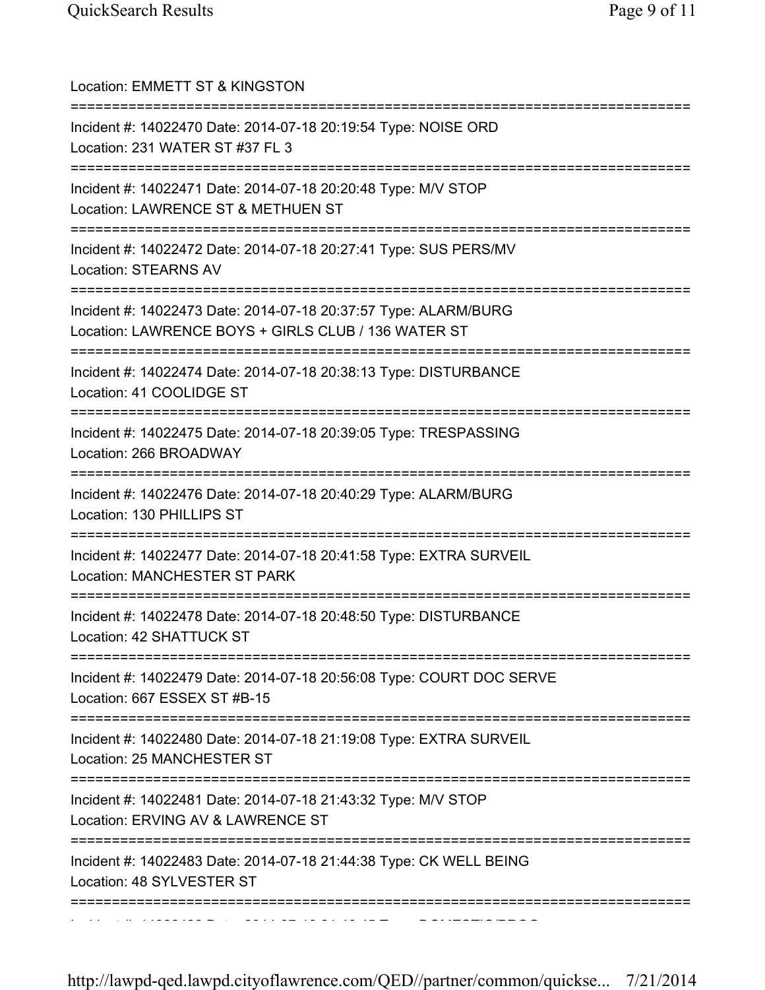| Location: EMMETT ST & KINGSTON<br>======================                                                               |
|------------------------------------------------------------------------------------------------------------------------|
| Incident #: 14022470 Date: 2014-07-18 20:19:54 Type: NOISE ORD<br>Location: 231 WATER ST #37 FL 3                      |
| Incident #: 14022471 Date: 2014-07-18 20:20:48 Type: M/V STOP<br>Location: LAWRENCE ST & METHUEN ST                    |
| Incident #: 14022472 Date: 2014-07-18 20:27:41 Type: SUS PERS/MV<br><b>Location: STEARNS AV</b>                        |
| Incident #: 14022473 Date: 2014-07-18 20:37:57 Type: ALARM/BURG<br>Location: LAWRENCE BOYS + GIRLS CLUB / 136 WATER ST |
| Incident #: 14022474 Date: 2014-07-18 20:38:13 Type: DISTURBANCE<br>Location: 41 COOLIDGE ST                           |
| Incident #: 14022475 Date: 2014-07-18 20:39:05 Type: TRESPASSING<br>Location: 266 BROADWAY                             |
| Incident #: 14022476 Date: 2014-07-18 20:40:29 Type: ALARM/BURG<br>Location: 130 PHILLIPS ST                           |
| Incident #: 14022477 Date: 2014-07-18 20:41:58 Type: EXTRA SURVEIL<br>Location: MANCHESTER ST PARK                     |
| Incident #: 14022478 Date: 2014-07-18 20:48:50 Type: DISTURBANCE<br>Location: 42 SHATTUCK ST                           |
| Incident #: 14022479 Date: 2014-07-18 20:56:08 Type: COURT DOC SERVE<br>Location: 667 ESSEX ST #B-15                   |
| Incident #: 14022480 Date: 2014-07-18 21:19:08 Type: EXTRA SURVEIL<br>Location: 25 MANCHESTER ST                       |
| ===========<br>Incident #: 14022481 Date: 2014-07-18 21:43:32 Type: M/V STOP<br>Location: ERVING AV & LAWRENCE ST      |
| Incident #: 14022483 Date: 2014-07-18 21:44:38 Type: CK WELL BEING<br>Location: 48 SYLVESTER ST                        |
|                                                                                                                        |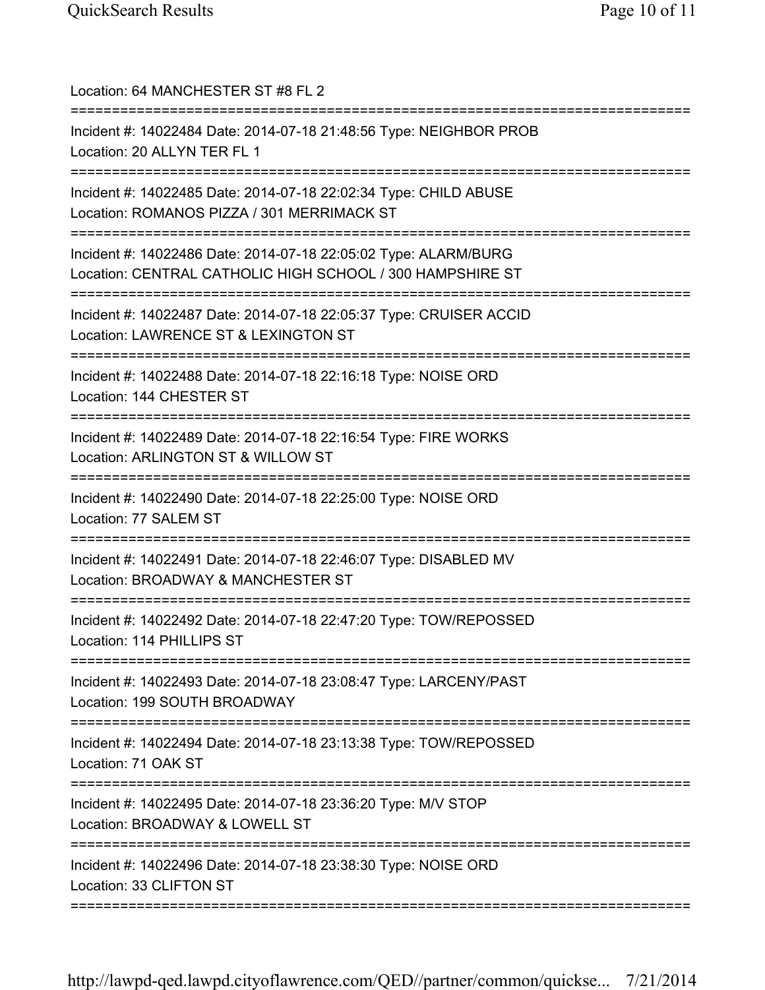| Location: 64 MANCHESTER ST #8 FL 2<br>===================                                                                    |
|------------------------------------------------------------------------------------------------------------------------------|
| Incident #: 14022484 Date: 2014-07-18 21:48:56 Type: NEIGHBOR PROB<br>Location: 20 ALLYN TER FL 1                            |
| Incident #: 14022485 Date: 2014-07-18 22:02:34 Type: CHILD ABUSE<br>Location: ROMANOS PIZZA / 301 MERRIMACK ST               |
| Incident #: 14022486 Date: 2014-07-18 22:05:02 Type: ALARM/BURG<br>Location: CENTRAL CATHOLIC HIGH SCHOOL / 300 HAMPSHIRE ST |
| Incident #: 14022487 Date: 2014-07-18 22:05:37 Type: CRUISER ACCID<br>Location: LAWRENCE ST & LEXINGTON ST                   |
| Incident #: 14022488 Date: 2014-07-18 22:16:18 Type: NOISE ORD<br>Location: 144 CHESTER ST                                   |
| Incident #: 14022489 Date: 2014-07-18 22:16:54 Type: FIRE WORKS<br>Location: ARLINGTON ST & WILLOW ST                        |
| Incident #: 14022490 Date: 2014-07-18 22:25:00 Type: NOISE ORD<br>Location: 77 SALEM ST                                      |
| Incident #: 14022491 Date: 2014-07-18 22:46:07 Type: DISABLED MV<br>Location: BROADWAY & MANCHESTER ST                       |
| Incident #: 14022492 Date: 2014-07-18 22:47:20 Type: TOW/REPOSSED<br>Location: 114 PHILLIPS ST                               |
| Incident #: 14022493 Date: 2014-07-18 23:08:47 Type: LARCENY/PAST<br>Location: 199 SOUTH BROADWAY<br>=======                 |
| Incident #: 14022494 Date: 2014-07-18 23:13:38 Type: TOW/REPOSSED<br>Location: 71 OAK ST                                     |
| Incident #: 14022495 Date: 2014-07-18 23:36:20 Type: M/V STOP<br>Location: BROADWAY & LOWELL ST                              |
| Incident #: 14022496 Date: 2014-07-18 23:38:30 Type: NOISE ORD<br>Location: 33 CLIFTON ST                                    |
|                                                                                                                              |